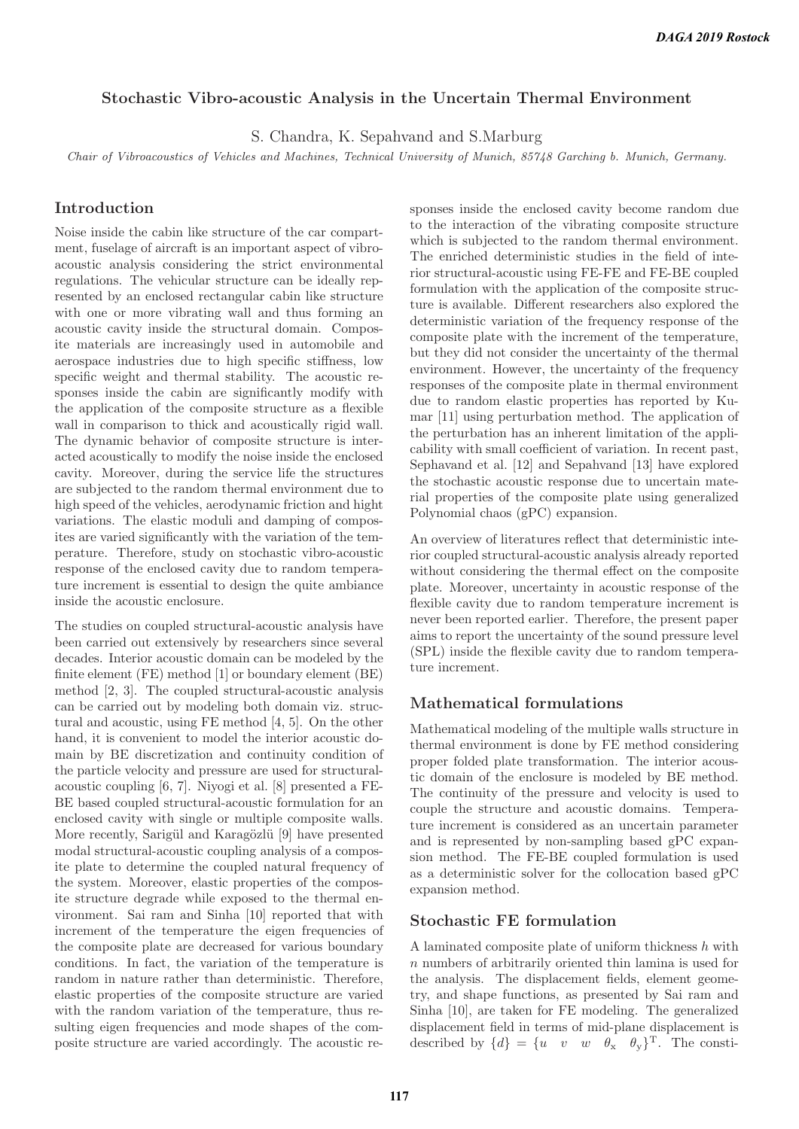### **Stochastic Vibro-acoustic Analysis in the Uncertain Thermal Environment**

S. Chandra, K. Sepahvand and S.Marburg

Chair of Vibroacoustics of Vehicles and Machines, Technical University of Munich, 85748 Garching b. Munich, Germany.

# **Introduction**

Noise inside the cabin like structure of the car compartment, fuselage of aircraft is an important aspect of vibroacoustic analysis considering the strict environmental regulations. The vehicular structure can be ideally represented by an enclosed rectangular cabin like structure with one or more vibrating wall and thus forming an acoustic cavity inside the structural domain. Composite materials are increasingly used in automobile and aerospace industries due to high specific stiffness, low specific weight and thermal stability. The acoustic responses inside the cabin are significantly modify with the application of the composite structure as a flexible wall in comparison to thick and acoustically rigid wall. The dynamic behavior of composite structure is interacted acoustically to modify the noise inside the enclosed cavity. Moreover, during the service life the structures are subjected to the random thermal environment due to high speed of the vehicles, aerodynamic friction and hight variations. The elastic moduli and damping of composites are varied significantly with the variation of the temperature. Therefore, study on stochastic vibro-acoustic response of the enclosed cavity due to random temperature increment is essential to design the quite ambiance inside the acoustic enclosure.

The studies on coupled structural-acoustic analysis have been carried out extensively by researchers since several decades. Interior acoustic domain can be modeled by the finite element (FE) method [1] or boundary element (BE) method [2, 3]. The coupled structural-acoustic analysis can be carried out by modeling both domain viz. structural and acoustic, using FE method [4, 5]. On the other hand, it is convenient to model the interior acoustic domain by BE discretization and continuity condition of the particle velocity and pressure are used for structuralacoustic coupling [6, 7]. Niyogi et al. [8] presented a FE-BE based coupled structural-acoustic formulation for an enclosed cavity with single or multiple composite walls. More recently, Sarigül and Karagözlü [9] have presented modal structural-acoustic coupling analysis of a composite plate to determine the coupled natural frequency of the system. Moreover, elastic properties of the composite structure degrade while exposed to the thermal environment. Sai ram and Sinha [10] reported that with increment of the temperature the eigen frequencies of the composite plate are decreased for various boundary conditions. In fact, the variation of the temperature is random in nature rather than deterministic. Therefore, elastic properties of the composite structure are varied with the random variation of the temperature, thus resulting eigen frequencies and mode shapes of the composite structure are varied accordingly. The acoustic responses inside the enclosed cavity become random due to the interaction of the vibrating composite structure which is subjected to the random thermal environment. The enriched deterministic studies in the field of interior structural-acoustic using FE-FE and FE-BE coupled formulation with the application of the composite structure is available. Different researchers also explored the deterministic variation of the frequency response of the composite plate with the increment of the temperature, but they did not consider the uncertainty of the thermal environment. However, the uncertainty of the frequency responses of the composite plate in thermal environment due to random elastic properties has reported by Kumar [11] using perturbation method. The application of the perturbation has an inherent limitation of the applicability with small coefficient of variation. In recent past, Sephavand et al. [12] and Sepahvand [13] have explored the stochastic acoustic response due to uncertain material properties of the composite plate using generalized Polynomial chaos (gPC) expansion.

An overview of literatures reflect that deterministic interior coupled structural-acoustic analysis already reported without considering the thermal effect on the composite plate. Moreover, uncertainty in acoustic response of the flexible cavity due to random temperature increment is never been reported earlier. Therefore, the present paper aims to report the uncertainty of the sound pressure level (SPL) inside the flexible cavity due to random temperature increment.

## **Mathematical formulations**

Mathematical modeling of the multiple walls structure in thermal environment is done by FE method considering proper folded plate transformation. The interior acoustic domain of the enclosure is modeled by BE method. The continuity of the pressure and velocity is used to couple the structure and acoustic domains. Temperature increment is considered as an uncertain parameter and is represented by non-sampling based gPC expansion method. The FE-BE coupled formulation is used as a deterministic solver for the collocation based gPC expansion method.

### **Stochastic FE formulation**

A laminated composite plate of uniform thickness  $h$  with n numbers of arbitrarily oriented thin lamina is used for the analysis. The displacement fields, element geometry, and shape functions, as presented by Sai ram and Sinha [10], are taken for FE modeling. The generalized displacement field in terms of mid-plane displacement is described by  $\{d\} = \{u \quad v \quad w \quad \theta_x \quad \theta_y\}^T$ . The consti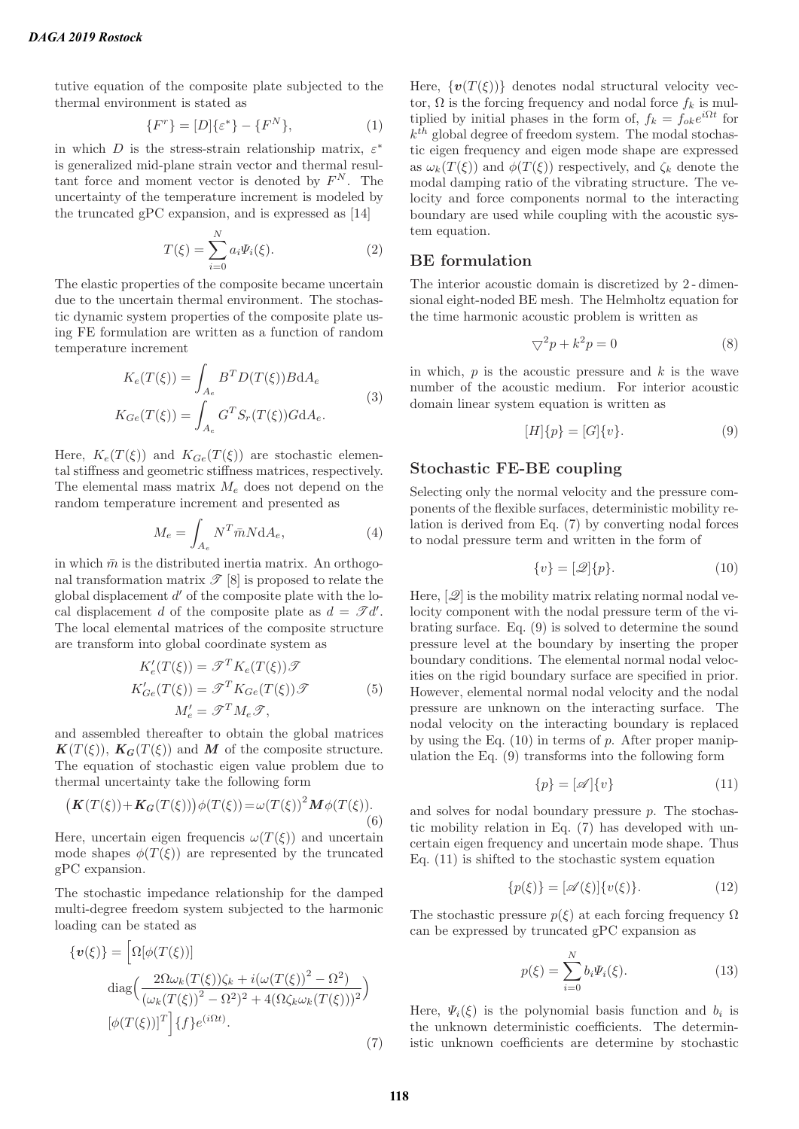tutive equation of the composite plate subjected to the thermal environment is stated as

$$
\{F^r\} = [D]\{\varepsilon^*\} - \{F^N\},\tag{1}
$$

in which D is the stress-strain relationship matrix,  $\varepsilon^*$ is generalized mid-plane strain vector and thermal resultant force and moment vector is denoted by  $F^N$ . The uncertainty of the temperature increment is modeled by the truncated gPC expansion, and is expressed as [14]

$$
T(\xi) = \sum_{i=0}^{N} a_i \Psi_i(\xi). \tag{2}
$$

The elastic properties of the composite became uncertain due to the uncertain thermal environment. The stochastic dynamic system properties of the composite plate using FE formulation are written as a function of random temperature increment

$$
K_e(T(\xi)) = \int_{A_e} B^T D(T(\xi)) B dA_e
$$
  
\n
$$
K_{Ge}(T(\xi)) = \int_{A_e} G^T S_r(T(\xi)) G dA_e.
$$
\n(3)

Here,  $K_e(T(\xi))$  and  $K_{Ge}(T(\xi))$  are stochastic elemental stiffness and geometric stiffness matrices, respectively. The elemental mass matrix  $M_e$  does not depend on the random temperature increment and presented as

$$
M_e = \int_{A_e} N^T \bar{m} N \mathrm{d} A_e,\tag{4}
$$

in which  $\bar{m}$  is the distributed inertia matrix. An orthogonal transformation matrix  $\mathscr{T}[8]$  is proposed to relate the global displacement  $d'$  of the composite plate with the local displacement d of the composite plate as  $d = \mathscr{T}d'$ . The local elemental matrices of the composite structure are transform into global coordinate system as

$$
K'_{e}(T(\xi)) = \mathcal{T}^{T} K_{e}(T(\xi)) \mathcal{T}
$$
  
\n
$$
K'_{Ge}(T(\xi)) = \mathcal{T}^{T} K_{Ge}(T(\xi)) \mathcal{T}
$$
  
\n
$$
M'_{e} = \mathcal{T}^{T} M_{e} \mathcal{T},
$$
\n(5)

and assembled thereafter to obtain the global matrices  $K(T(\xi))$ ,  $K_G(T(\xi))$  and M of the composite structure. The equation of stochastic eigen value problem due to thermal uncertainty take the following form

$$
\left(\boldsymbol{K}(T(\xi)) + \boldsymbol{K}_G(T(\xi))\right)\phi(T(\xi)) = \omega(T(\xi))^2 \boldsymbol{M}\phi(T(\xi)).
$$
\n(6)

Here, uncertain eigen frequencis  $\omega(T(\xi))$  and uncertain mode shapes  $\phi(T(\xi))$  are represented by the truncated gPC expansion.

The stochastic impedance relationship for the damped multi-degree freedom system subjected to the harmonic loading can be stated as

$$
\{\boldsymbol{v}(\xi)\} = \left[\Omega[\phi(T(\xi))]\right]
$$

$$
\operatorname{diag}\left(\frac{2\Omega\omega_k(T(\xi))\zeta_k + i(\omega(T(\xi))^2 - \Omega^2)}{(\omega_k(T(\xi))^2 - \Omega^2)^2 + 4(\Omega\zeta_k\omega_k(T(\xi)))^2}\right)
$$

$$
[\phi(T(\xi))]^T\right]\{f\}e^{(i\Omega t)}.
$$
(7)

Here,  $\{v(T(\xi))\}$  denotes nodal structural velocity vector,  $\Omega$  is the forcing frequency and nodal force  $f_k$  is multiplied by initial phases in the form of,  $f_k = f_{ok}e^{i\Omega t}$  for  $k^{th}$  global degree of freedom system. The modal stochastic eigen frequency and eigen mode shape are expressed as  $\omega_k(T(\xi))$  and  $\phi(T(\xi))$  respectively, and  $\zeta_k$  denote the modal damping ratio of the vibrating structure. The velocity and force components normal to the interacting boundary are used while coupling with the acoustic system equation.

## **BE formulation**

The interior acoustic domain is discretized by 2 - dimensional eight-noded BE mesh. The Helmholtz equation for the time harmonic acoustic problem is written as

$$
\nabla^2 p + k^2 p = 0 \tag{8}
$$

in which,  $p$  is the acoustic pressure and  $k$  is the wave number of the acoustic medium. For interior acoustic domain linear system equation is written as

$$
[H]\{p\} = [G]\{v\}.
$$
 (9)

### **Stochastic FE-BE coupling**

Selecting only the normal velocity and the pressure components of the flexible surfaces, deterministic mobility relation is derived from Eq. (7) by converting nodal forces to nodal pressure term and written in the form of

$$
\{v\} = [\mathcal{Q}]\{p\}.
$$
 (10)

Here,  $[\mathscr{Q}]$  is the mobility matrix relating normal nodal velocity component with the nodal pressure term of the vibrating surface. Eq. (9) is solved to determine the sound pressure level at the boundary by inserting the proper boundary conditions. The elemental normal nodal velocities on the rigid boundary surface are specified in prior. However, elemental normal nodal velocity and the nodal pressure are unknown on the interacting surface. The nodal velocity on the interacting boundary is replaced by using the Eq.  $(10)$  in terms of p. After proper manipulation the Eq. (9) transforms into the following form

$$
\{p\} = [\mathscr{A}]\{v\} \tag{11}
$$

and solves for nodal boundary pressure  $p$ . The stochastic mobility relation in Eq. (7) has developed with uncertain eigen frequency and uncertain mode shape. Thus Eq. (11) is shifted to the stochastic system equation

$$
\{p(\xi)\} = [\mathscr{A}(\xi)]\{v(\xi)\}.
$$
 (12)

The stochastic pressure  $p(\xi)$  at each forcing frequency  $\Omega$ can be expressed by truncated gPC expansion as

$$
p(\xi) = \sum_{i=0}^{N} b_i \Psi_i(\xi). \tag{13}
$$

Here,  $\Psi_i(\xi)$  is the polynomial basis function and  $b_i$  is the unknown deterministic coefficients. The deterministic unknown coefficients are determine by stochastic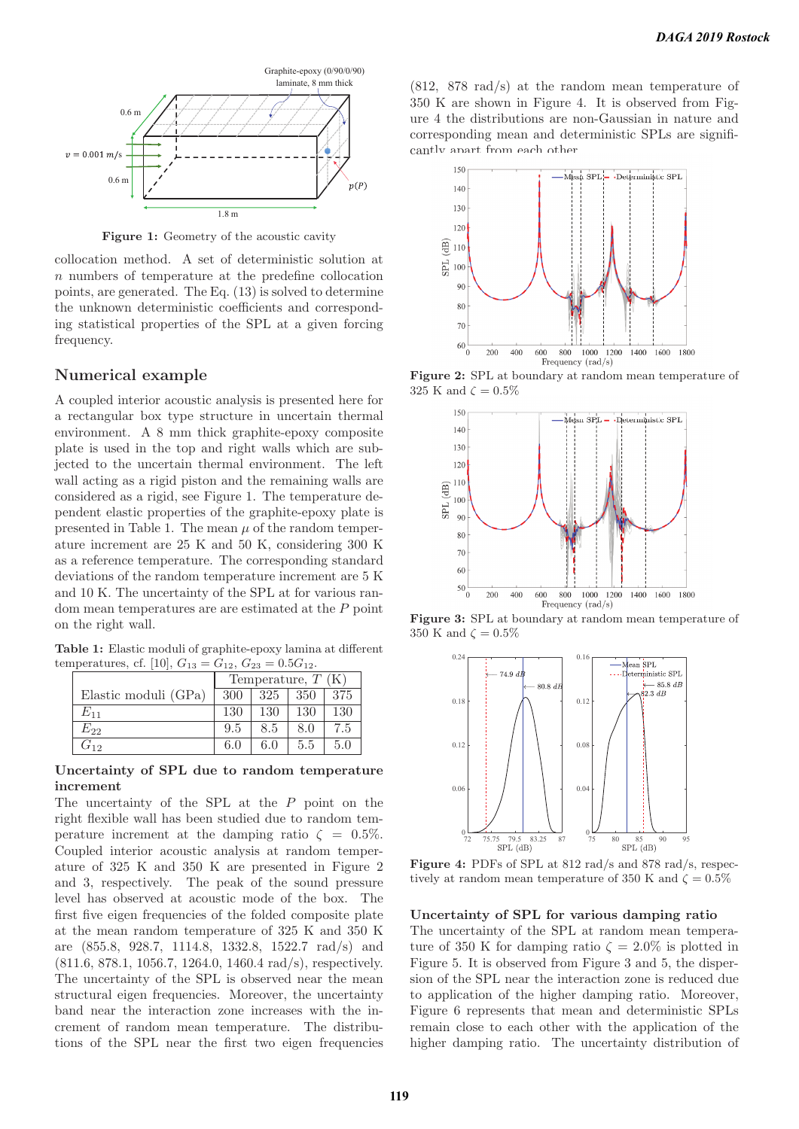

**Figure 1:** Geometry of the acoustic cavity

collocation method. A set of deterministic solution at n numbers of temperature at the predefine collocation points, are generated. The Eq. (13) is solved to determine the unknown deterministic coefficients and corresponding statistical properties of the SPL at a given forcing frequency.

#### **Numerical example**

A coupled interior acoustic analysis is presented here for a rectangular box type structure in uncertain thermal environment. A 8 mm thick graphite-epoxy composite plate is used in the top and right walls which are subjected to the uncertain thermal environment. The left wall acting as a rigid piston and the remaining walls are considered as a rigid, see Figure 1. The temperature dependent elastic properties of the graphite-epoxy plate is presented in Table 1. The mean  $\mu$  of the random temperature increment are 25 K and 50 K, considering 300 K as a reference temperature. The corresponding standard deviations of the random temperature increment are 5 K and 10 K. The uncertainty of the SPL at for various random mean temperatures are are estimated at the P point on the right wall.

**Table 1:** Elastic moduli of graphite-epoxy lamina at different temperatures, cf. [10],  $G_{13} = G_{12}$ ,  $G_{23} = 0.5G_{12}$ .

|                      | Temperature, $T(K)$ |     |     |     |
|----------------------|---------------------|-----|-----|-----|
| Elastic moduli (GPa) | 300                 | 325 | 350 | 375 |
| $E_{\rm 11}$         | 130                 | 130 | 130 | 130 |
| $E_{22}$             | 9.5                 | 8.5 | 8.0 | 7.5 |
| 112                  | 6.0                 | 6.0 | 5.5 | 5.0 |

#### **Uncertainty of SPL due to random temperature increment**

The uncertainty of the SPL at the P point on the right flexible wall has been studied due to random temperature increment at the damping ratio  $\zeta = 0.5\%$ . Coupled interior acoustic analysis at random temperature of 325 K and 350 K are presented in Figure 2 and 3, respectively. The peak of the sound pressure level has observed at acoustic mode of the box. The first five eigen frequencies of the folded composite plate at the mean random temperature of 325 K and 350 K are (855.8, 928.7, 1114.8, 1332.8, 1522.7 rad/s) and (811.6, 878.1, 1056.7, 1264.0, 1460.4 rad/s), respectively. The uncertainty of the SPL is observed near the mean structural eigen frequencies. Moreover, the uncertainty band near the interaction zone increases with the increment of random mean temperature. The distributions of the SPL near the first two eigen frequencies

(812, 878 rad/s) at the random mean temperature of 350 K are shown in Figure 4. It is observed from Figure 4 the distributions are non-Gaussian in nature and corresponding mean and deterministic SPLs are significantly apart from each other.



**Figure 2:** SPL at boundary at random mean temperature of 325 K and  $\zeta = 0.5\%$ 



**Figure 3:** SPL at boundary at random mean temperature of 350 K and  $\zeta = 0.5\%$ 



**Figure 4:** PDFs of SPL at 812 rad/s and 878 rad/s, respectively at random mean temperature of 350 K and  $\zeta = 0.5\%$ 

#### **Uncertainty of SPL for various damping ratio**

The uncertainty of the SPL at random mean temperature of 350 K for damping ratio  $\zeta = 2.0\%$  is plotted in Figure 5. It is observed from Figure 3 and 5, the dispersion of the SPL near the interaction zone is reduced due to application of the higher damping ratio. Moreover, Figure 6 represents that mean and deterministic SPLs remain close to each other with the application of the higher damping ratio. The uncertainty distribution of